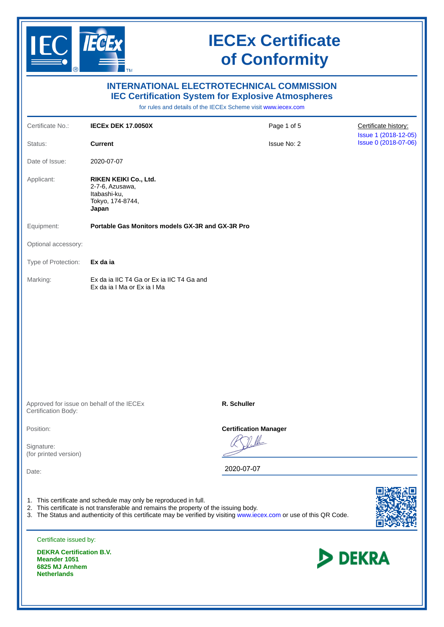

| <b>INTERNATIONAL ELECTROTECHNICAL COMMISSION</b><br><b>IEC Certification System for Explosive Atmospheres</b><br>for rules and details of the IECEx Scheme visit www.iecex.com |                                                                                                                                                           |                                                                                                                      |                                              |  |  |  |  |
|--------------------------------------------------------------------------------------------------------------------------------------------------------------------------------|-----------------------------------------------------------------------------------------------------------------------------------------------------------|----------------------------------------------------------------------------------------------------------------------|----------------------------------------------|--|--|--|--|
| Certificate No.:                                                                                                                                                               | <b>IECEX DEK 17.0050X</b>                                                                                                                                 | Page 1 of 5                                                                                                          | Certificate history:                         |  |  |  |  |
| Status:                                                                                                                                                                        | <b>Current</b>                                                                                                                                            | <b>Issue No: 2</b>                                                                                                   | Issue 1 (2018-12-05)<br>Issue 0 (2018-07-06) |  |  |  |  |
| Date of Issue:                                                                                                                                                                 | 2020-07-07                                                                                                                                                |                                                                                                                      |                                              |  |  |  |  |
| Applicant:                                                                                                                                                                     | RIKEN KEIKI Co., Ltd.<br>2-7-6, Azusawa,<br>Itabashi-ku,<br>Tokyo, 174-8744,<br>Japan                                                                     |                                                                                                                      |                                              |  |  |  |  |
| Equipment:                                                                                                                                                                     | Portable Gas Monitors models GX-3R and GX-3R Pro                                                                                                          |                                                                                                                      |                                              |  |  |  |  |
| Optional accessory:                                                                                                                                                            |                                                                                                                                                           |                                                                                                                      |                                              |  |  |  |  |
| Type of Protection:                                                                                                                                                            | Ex da ia                                                                                                                                                  |                                                                                                                      |                                              |  |  |  |  |
| Marking:                                                                                                                                                                       | Ex da ia IIC T4 Ga or Ex ia IIC T4 Ga and<br>Ex da ia I Ma or Ex ia I Ma                                                                                  |                                                                                                                      |                                              |  |  |  |  |
| Certification Body:                                                                                                                                                            | Approved for issue on behalf of the IECEx                                                                                                                 | R. Schuller                                                                                                          |                                              |  |  |  |  |
| Position:<br>Signature:<br>(for printed version)<br>Date:                                                                                                                      |                                                                                                                                                           | <b>Certification Manager</b><br>2020-07-07                                                                           |                                              |  |  |  |  |
|                                                                                                                                                                                | 1. This certificate and schedule may only be reproduced in full.<br>2. This certificate is not transferable and remains the property of the issuing body. | 3. The Status and authenticity of this certificate may be verified by visiting www.iecex.com or use of this QR Code. |                                              |  |  |  |  |
| Certificate issued by:                                                                                                                                                         |                                                                                                                                                           |                                                                                                                      |                                              |  |  |  |  |
| <b>DEKRA Certification B.V.</b><br><b>Meander 1051</b>                                                                                                                         |                                                                                                                                                           | <b>DEKRA</b>                                                                                                         |                                              |  |  |  |  |

**6825 MJ Arnhem Netherlands**

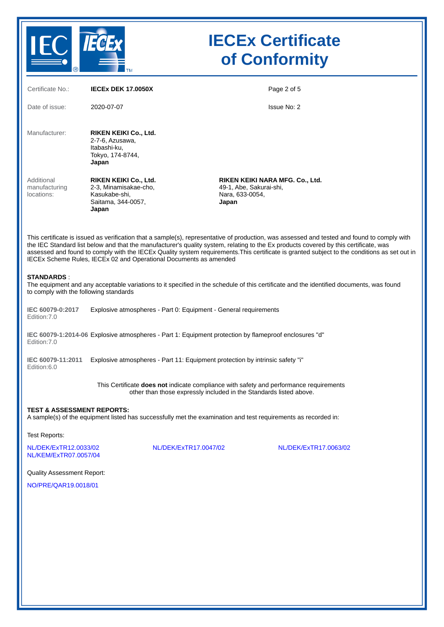

| Certificate No.:                                                                                                                                                                                                                                                                                                                                                                                                                                                                                         | <b>IECEX DEK 17.0050X</b>                                                                      |                       |                                                                                        | Page 2 of 5           |  |  |  |
|----------------------------------------------------------------------------------------------------------------------------------------------------------------------------------------------------------------------------------------------------------------------------------------------------------------------------------------------------------------------------------------------------------------------------------------------------------------------------------------------------------|------------------------------------------------------------------------------------------------|-----------------------|----------------------------------------------------------------------------------------|-----------------------|--|--|--|
| Date of issue:                                                                                                                                                                                                                                                                                                                                                                                                                                                                                           | 2020-07-07                                                                                     |                       |                                                                                        | <b>Issue No: 2</b>    |  |  |  |
| Manufacturer:                                                                                                                                                                                                                                                                                                                                                                                                                                                                                            | RIKEN KEIKI Co., Ltd.<br>2-7-6, Azusawa,<br>Itabashi-ku,<br>Tokyo, 174-8744,<br>Japan          |                       |                                                                                        |                       |  |  |  |
| Additional<br>manufacturing<br>locations:                                                                                                                                                                                                                                                                                                                                                                                                                                                                | RIKEN KEIKI Co., Ltd.<br>2-3, Minamisakae-cho,<br>Kasukabe-shi,<br>Saitama, 344-0057,<br>Japan |                       | RIKEN KEIKI NARA MFG. Co., Ltd.<br>49-1, Abe, Sakurai-shi,<br>Nara, 633-0054,<br>Japan |                       |  |  |  |
| This certificate is issued as verification that a sample(s), representative of production, was assessed and tested and found to comply with<br>the IEC Standard list below and that the manufacturer's quality system, relating to the Ex products covered by this certificate, was<br>assessed and found to comply with the IECEx Quality system requirements. This certificate is granted subject to the conditions as set out in<br>IECEx Scheme Rules, IECEx 02 and Operational Documents as amended |                                                                                                |                       |                                                                                        |                       |  |  |  |
| <b>STANDARDS:</b><br>The equipment and any acceptable variations to it specified in the schedule of this certificate and the identified documents, was found<br>to comply with the following standards                                                                                                                                                                                                                                                                                                   |                                                                                                |                       |                                                                                        |                       |  |  |  |
| IEC 60079-0:2017<br>Edition: 7.0                                                                                                                                                                                                                                                                                                                                                                                                                                                                         | Explosive atmospheres - Part 0: Equipment - General requirements                               |                       |                                                                                        |                       |  |  |  |
| IEC 60079-1:2014-06 Explosive atmospheres - Part 1: Equipment protection by flameproof enclosures "d"<br>Edition: 7.0                                                                                                                                                                                                                                                                                                                                                                                    |                                                                                                |                       |                                                                                        |                       |  |  |  |
| IEC 60079-11:2011<br>Edition:6.0                                                                                                                                                                                                                                                                                                                                                                                                                                                                         | Explosive atmospheres - Part 11: Equipment protection by intrinsic safety "i"                  |                       |                                                                                        |                       |  |  |  |
| This Certificate does not indicate compliance with safety and performance requirements<br>other than those expressly included in the Standards listed above.                                                                                                                                                                                                                                                                                                                                             |                                                                                                |                       |                                                                                        |                       |  |  |  |
| <b>TEST &amp; ASSESSMENT REPORTS:</b><br>A sample(s) of the equipment listed has successfully met the examination and test requirements as recorded in:                                                                                                                                                                                                                                                                                                                                                  |                                                                                                |                       |                                                                                        |                       |  |  |  |
| <b>Test Reports:</b>                                                                                                                                                                                                                                                                                                                                                                                                                                                                                     |                                                                                                |                       |                                                                                        |                       |  |  |  |
| NL/DEK/ExTR12.0033/02<br>NL/KEM/ExTR07.0057/04                                                                                                                                                                                                                                                                                                                                                                                                                                                           |                                                                                                | NL/DEK/ExTR17.0047/02 |                                                                                        | NL/DEK/ExTR17.0063/02 |  |  |  |
| <b>Quality Assessment Report:</b>                                                                                                                                                                                                                                                                                                                                                                                                                                                                        |                                                                                                |                       |                                                                                        |                       |  |  |  |
| NO/PRE/QAR19.0018/01                                                                                                                                                                                                                                                                                                                                                                                                                                                                                     |                                                                                                |                       |                                                                                        |                       |  |  |  |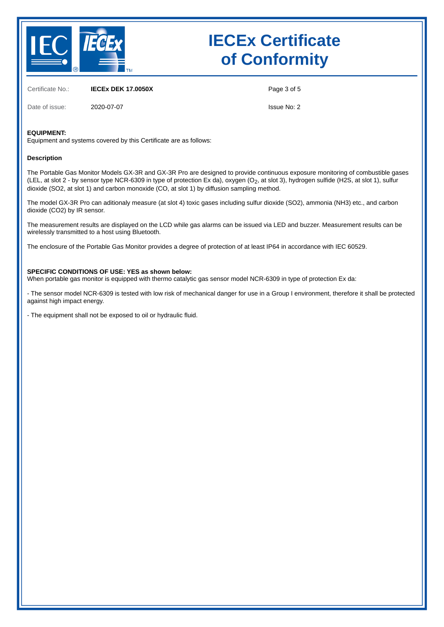

Certificate No.: **IECEx DEK 17.0050X**

Date of issue: 2020-07-07

Page 3 of 5

Issue No: 2

### **EQUIPMENT:**

Equipment and systems covered by this Certificate are as follows:

#### **Description**

The Portable Gas Monitor Models GX-3R and GX-3R Pro are designed to provide continuous exposure monitoring of combustible gases (LEL, at slot 2 - by sensor type NCR-6309 in type of protection Ex da), oxygen (O<sub>2</sub>, at slot 3), hydrogen sulfide (H2S, at slot 1), sulfur dioxide (SO2, at slot 1) and carbon monoxide (CO, at slot 1) by diffusion sampling method.

The model GX-3R Pro can aditionaly measure (at slot 4) toxic gases including sulfur dioxide (SO2), ammonia (NH3) etc., and carbon dioxide (CO2) by IR sensor.

The measurement results are displayed on the LCD while gas alarms can be issued via LED and buzzer. Measurement results can be wirelessly transmitted to a host using Bluetooth.

The enclosure of the Portable Gas Monitor provides a degree of protection of at least IP64 in accordance with IEC 60529.

#### **SPECIFIC CONDITIONS OF USE: YES as shown below:**

When portable gas monitor is equipped with thermo catalytic gas sensor model NCR-6309 in type of protection Ex da:

- The sensor model NCR-6309 is tested with low risk of mechanical danger for use in a Group I environment, therefore it shall be protected against high impact energy.

- The equipment shall not be exposed to oil or hydraulic fluid.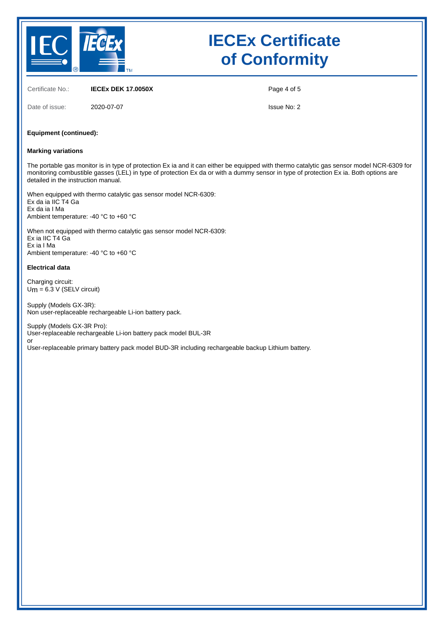

Certificate No.: **IECEx DEK 17.0050X**

Page 4 of 5

Date of issue: 2020-07-07

Issue No: 2

#### **Equipment (continued):**

#### **Marking variations**

The portable gas monitor is in type of protection Ex ia and it can either be equipped with thermo catalytic gas sensor model NCR-6309 for monitoring combustible gasses (LEL) in type of protection Ex da or with a dummy sensor in type of protection Ex ia. Both options are detailed in the instruction manual.

When equipped with thermo catalytic gas sensor model NCR-6309: Ex da ia IIC T4 Ga Ex da ia I Ma Ambient temperature: -40 °C to +60 °C

When not equipped with thermo catalytic gas sensor model NCR-6309: Ex ia IIC T4 Ga Ex ia I Ma Ambient temperature: -40 °C to +60 °C

#### **Electrical data**

Charging circuit:  $U_m$  = 6.3 V (SELV circuit)

Supply (Models GX-3R): Non user-replaceable rechargeable Li-ion battery pack.

Supply (Models GX-3R Pro): User-replaceable rechargeable Li-ion battery pack model BUL-3R or

User-replaceable primary battery pack model BUD-3R including rechargeable backup Lithium battery.